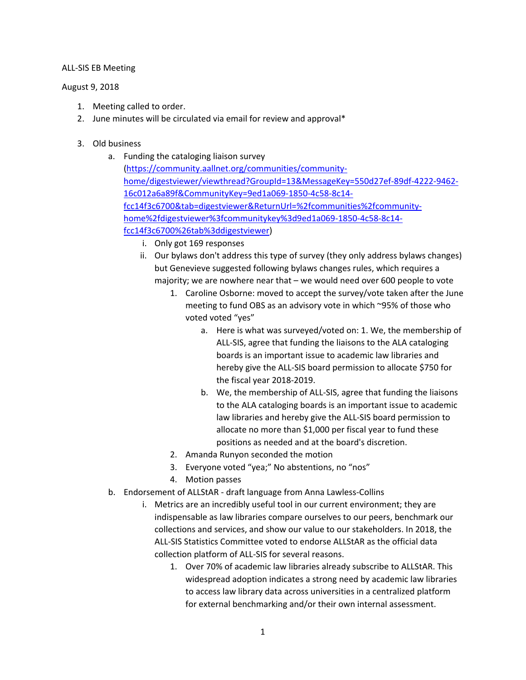## ALL-SIS EB Meeting

## August 9, 2018

- 1. Meeting called to order.
- 2. June minutes will be circulated via email for review and approval\*
- 3. Old business
	- a. Funding the cataloging liaison survey
		- [\(https://community.aallnet.org/communities/community](https://community.aallnet.org/communities/community-home/digestviewer/viewthread?GroupId=13&MessageKey=550d27ef-89df-4222-9462-16c012a6a89f&CommunityKey=9ed1a069-1850-4c58-8c14-fcc14f3c6700&tab=digestviewer&ReturnUrl=%2fcommunities%2fcommunity-home%2fdigestviewer%3fcommunitykey%3d9ed1a069-1850-4c58-8c14-fcc14f3c6700%26tab%3ddigestviewer)[home/digestviewer/viewthread?GroupId=13&MessageKey=550d27ef-89df-4222-9462-](https://community.aallnet.org/communities/community-home/digestviewer/viewthread?GroupId=13&MessageKey=550d27ef-89df-4222-9462-16c012a6a89f&CommunityKey=9ed1a069-1850-4c58-8c14-fcc14f3c6700&tab=digestviewer&ReturnUrl=%2fcommunities%2fcommunity-home%2fdigestviewer%3fcommunitykey%3d9ed1a069-1850-4c58-8c14-fcc14f3c6700%26tab%3ddigestviewer) [16c012a6a89f&CommunityKey=9ed1a069-1850-4c58-8c14](https://community.aallnet.org/communities/community-home/digestviewer/viewthread?GroupId=13&MessageKey=550d27ef-89df-4222-9462-16c012a6a89f&CommunityKey=9ed1a069-1850-4c58-8c14-fcc14f3c6700&tab=digestviewer&ReturnUrl=%2fcommunities%2fcommunity-home%2fdigestviewer%3fcommunitykey%3d9ed1a069-1850-4c58-8c14-fcc14f3c6700%26tab%3ddigestviewer) [fcc14f3c6700&tab=digestviewer&ReturnUrl=%2fcommunities%2fcommunity](https://community.aallnet.org/communities/community-home/digestviewer/viewthread?GroupId=13&MessageKey=550d27ef-89df-4222-9462-16c012a6a89f&CommunityKey=9ed1a069-1850-4c58-8c14-fcc14f3c6700&tab=digestviewer&ReturnUrl=%2fcommunities%2fcommunity-home%2fdigestviewer%3fcommunitykey%3d9ed1a069-1850-4c58-8c14-fcc14f3c6700%26tab%3ddigestviewer)[home%2fdigestviewer%3fcommunitykey%3d9ed1a069-1850-4c58-8c14](https://community.aallnet.org/communities/community-home/digestviewer/viewthread?GroupId=13&MessageKey=550d27ef-89df-4222-9462-16c012a6a89f&CommunityKey=9ed1a069-1850-4c58-8c14-fcc14f3c6700&tab=digestviewer&ReturnUrl=%2fcommunities%2fcommunity-home%2fdigestviewer%3fcommunitykey%3d9ed1a069-1850-4c58-8c14-fcc14f3c6700%26tab%3ddigestviewer) [fcc14f3c6700%26tab%3ddigestviewer\)](https://community.aallnet.org/communities/community-home/digestviewer/viewthread?GroupId=13&MessageKey=550d27ef-89df-4222-9462-16c012a6a89f&CommunityKey=9ed1a069-1850-4c58-8c14-fcc14f3c6700&tab=digestviewer&ReturnUrl=%2fcommunities%2fcommunity-home%2fdigestviewer%3fcommunitykey%3d9ed1a069-1850-4c58-8c14-fcc14f3c6700%26tab%3ddigestviewer)
			- i. Only got 169 responses
			- ii. Our bylaws don't address this type of survey (they only address bylaws changes) but Genevieve suggested following bylaws changes rules, which requires a majority; we are nowhere near that – we would need over 600 people to vote
				- 1. Caroline Osborne: moved to accept the survey/vote taken after the June meeting to fund OBS as an advisory vote in which ~95% of those who voted voted "yes"
					- a. Here is what was surveyed/voted on: 1. We, the membership of ALL-SIS, agree that funding the liaisons to the ALA cataloging boards is an important issue to academic law libraries and hereby give the ALL-SIS board permission to allocate \$750 for the fiscal year 2018-2019.
					- b. We, the membership of ALL-SIS, agree that funding the liaisons to the ALA cataloging boards is an important issue to academic law libraries and hereby give the ALL-SIS board permission to allocate no more than \$1,000 per fiscal year to fund these positions as needed and at the board's discretion.
				- 2. Amanda Runyon seconded the motion
				- 3. Everyone voted "yea;" No abstentions, no "nos"
				- 4. Motion passes
	- b. Endorsement of ALLStAR draft language from Anna Lawless-Collins
		- i. Metrics are an incredibly useful tool in our current environment; they are indispensable as law libraries compare ourselves to our peers, benchmark our collections and services, and show our value to our stakeholders. In 2018, the ALL-SIS Statistics Committee voted to endorse ALLStAR as the official data collection platform of ALL-SIS for several reasons.
			- 1. Over 70% of academic law libraries already subscribe to ALLStAR. This widespread adoption indicates a strong need by academic law libraries to access law library data across universities in a centralized platform for external benchmarking and/or their own internal assessment.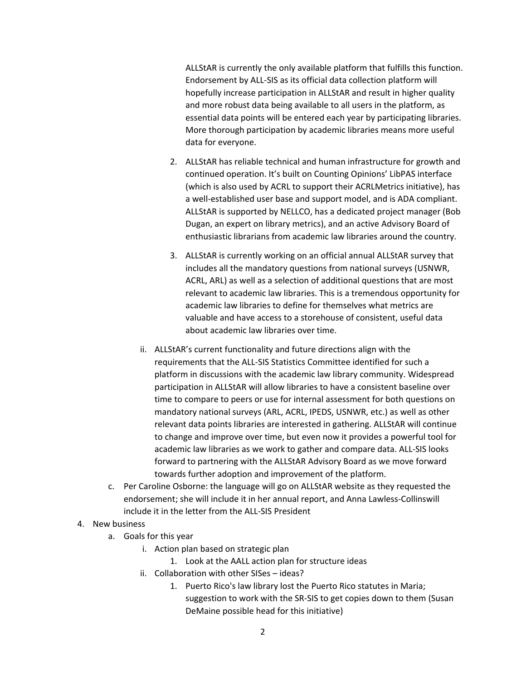ALLStAR is currently the only available platform that fulfills this function. Endorsement by ALL-SIS as its official data collection platform will hopefully increase participation in ALLStAR and result in higher quality and more robust data being available to all users in the platform, as essential data points will be entered each year by participating libraries. More thorough participation by academic libraries means more useful data for everyone.

- 2. ALLStAR has reliable technical and human infrastructure for growth and continued operation. It's built on Counting Opinions' LibPAS interface (which is also used by ACRL to support their ACRLMetrics initiative), has a well-established user base and support model, and is ADA compliant. ALLStAR is supported by NELLCO, has a dedicated project manager (Bob Dugan, an expert on library metrics), and an active Advisory Board of enthusiastic librarians from academic law libraries around the country.
- 3. ALLStAR is currently working on an official annual ALLStAR survey that includes all the mandatory questions from national surveys (USNWR, ACRL, ARL) as well as a selection of additional questions that are most relevant to academic law libraries. This is a tremendous opportunity for academic law libraries to define for themselves what metrics are valuable and have access to a storehouse of consistent, useful data about academic law libraries over time.
- ii. ALLStAR's current functionality and future directions align with the requirements that the ALL-SIS Statistics Committee identified for such a platform in discussions with the academic law library community. Widespread participation in ALLStAR will allow libraries to have a consistent baseline over time to compare to peers or use for internal assessment for both questions on mandatory national surveys (ARL, ACRL, IPEDS, USNWR, etc.) as well as other relevant data points libraries are interested in gathering. ALLStAR will continue to change and improve over time, but even now it provides a powerful tool for academic law libraries as we work to gather and compare data. ALL-SIS looks forward to partnering with the ALLStAR Advisory Board as we move forward towards further adoption and improvement of the platform.
- c. Per Caroline Osborne: the language will go on ALLStAR website as they requested the endorsement; she will include it in her annual report, and Anna Lawless-Collinswill include it in the letter from the ALL-SIS President

## 4. New business

- a. Goals for this year
	- i. Action plan based on strategic plan
		- 1. Look at the AALL action plan for structure ideas
	- ii. Collaboration with other SISes ideas?
		- 1. Puerto Rico's law library lost the Puerto Rico statutes in Maria; suggestion to work with the SR-SIS to get copies down to them (Susan DeMaine possible head for this initiative)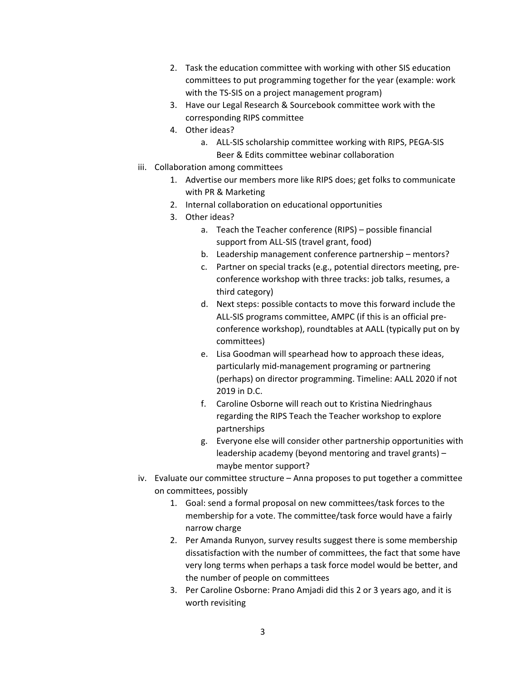- 2. Task the education committee with working with other SIS education committees to put programming together for the year (example: work with the TS-SIS on a project management program)
- 3. Have our Legal Research & Sourcebook committee work with the corresponding RIPS committee
- 4. Other ideas?
	- a. ALL-SIS scholarship committee working with RIPS, PEGA-SIS Beer & Edits committee webinar collaboration
- iii. Collaboration among committees
	- 1. Advertise our members more like RIPS does; get folks to communicate with PR & Marketing
	- 2. Internal collaboration on educational opportunities
	- 3. Other ideas?
		- a. Teach the Teacher conference (RIPS) possible financial support from ALL-SIS (travel grant, food)
		- b. Leadership management conference partnership mentors?
		- c. Partner on special tracks (e.g., potential directors meeting, preconference workshop with three tracks: job talks, resumes, a third category)
		- d. Next steps: possible contacts to move this forward include the ALL-SIS programs committee, AMPC (if this is an official preconference workshop), roundtables at AALL (typically put on by committees)
		- e. Lisa Goodman will spearhead how to approach these ideas, particularly mid-management programing or partnering (perhaps) on director programming. Timeline: AALL 2020 if not 2019 in D.C.
		- f. Caroline Osborne will reach out to Kristina Niedringhaus regarding the RIPS Teach the Teacher workshop to explore partnerships
		- g. Everyone else will consider other partnership opportunities with leadership academy (beyond mentoring and travel grants) – maybe mentor support?
- iv. Evaluate our committee structure Anna proposes to put together a committee on committees, possibly
	- 1. Goal: send a formal proposal on new committees/task forces to the membership for a vote. The committee/task force would have a fairly narrow charge
	- 2. Per Amanda Runyon, survey results suggest there is some membership dissatisfaction with the number of committees, the fact that some have very long terms when perhaps a task force model would be better, and the number of people on committees
	- 3. Per Caroline Osborne: Prano Amjadi did this 2 or 3 years ago, and it is worth revisiting